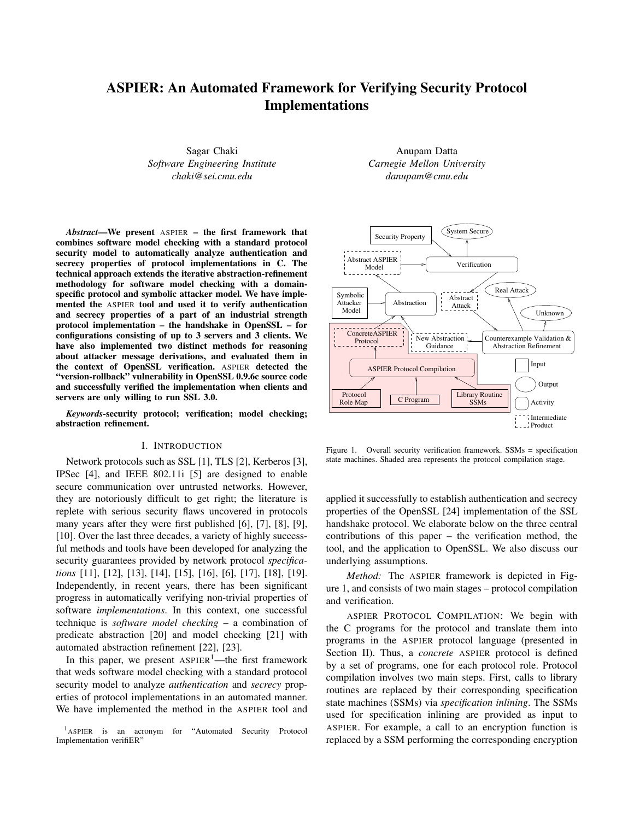# **ASPIER: An Automated Framework for Verifying Security Protocol Implementations**

Sagar Chaki *Software Engineering Institute chaki@sei.cmu.edu*

*Abstract***—We present** ASPIER **– the first framework that combines software model checking with a standard protocol security model to automatically analyze authentication and secrecy properties of protocol implementations in C. The technical approach extends the iterative abstraction-refinement methodology for software model checking with a domainspecific protocol and symbolic attacker model. We have implemented the** ASPIER **tool and used it to verify authentication and secrecy properties of a part of an industrial strength protocol implementation – the handshake in OpenSSL – for configurations consisting of up to 3 servers and 3 clients. We have also implemented two distinct methods for reasoning about attacker message derivations, and evaluated them in the context of OpenSSL verification.** ASPIER **detected the "version-rollback" vulnerability in OpenSSL 0.9.6c source code and successfully verified the implementation when clients and servers are only willing to run SSL 3.0.**

*Keywords***-security protocol; verification; model checking; abstraction refinement.**

# I. INTRODUCTION

Network protocols such as SSL [1], TLS [2], Kerberos [3], IPSec [4], and IEEE 802.11i [5] are designed to enable secure communication over untrusted networks. However, they are notoriously difficult to get right; the literature is replete with serious security flaws uncovered in protocols many years after they were first published [6], [7], [8], [9], [10]. Over the last three decades, a variety of highly successful methods and tools have been developed for analyzing the security guarantees provided by network protocol *specifications* [11], [12], [13], [14], [15], [16], [6], [17], [18], [19]. Independently, in recent years, there has been significant progress in automatically verifying non-trivial properties of software *implementations*. In this context, one successful technique is *software model checking* – a combination of predicate abstraction [20] and model checking [21] with automated abstraction refinement [22], [23].

In this paper, we present  $ASPIER^1$ —the first framework that weds software model checking with a standard protocol security model to analyze *authentication* and *secrecy* properties of protocol implementations in an automated manner. We have implemented the method in the ASPIER tool and

<sup>1</sup>ASPIER is an acronym for "Automated Security Protocol Implementation verifiER"

Anupam Datta *Carnegie Mellon University danupam@cmu.edu*



Figure 1. Overall security verification framework. SSMs = specification state machines. Shaded area represents the protocol compilation stage.

applied it successfully to establish authentication and secrecy properties of the OpenSSL [24] implementation of the SSL handshake protocol. We elaborate below on the three central contributions of this paper – the verification method, the tool, and the application to OpenSSL. We also discuss our underlying assumptions.

*Method:* The ASPIER framework is depicted in Figure 1, and consists of two main stages – protocol compilation and verification.

ASPIER PROTOCOL COMPILATION: We begin with the C programs for the protocol and translate them into programs in the ASPIER protocol language (presented in Section II). Thus, a *concrete* ASPIER protocol is defined by a set of programs, one for each protocol role. Protocol compilation involves two main steps. First, calls to library routines are replaced by their corresponding specification state machines (SSMs) via *specification inlining*. The SSMs used for specification inlining are provided as input to ASPIER. For example, a call to an encryption function is replaced by a SSM performing the corresponding encryption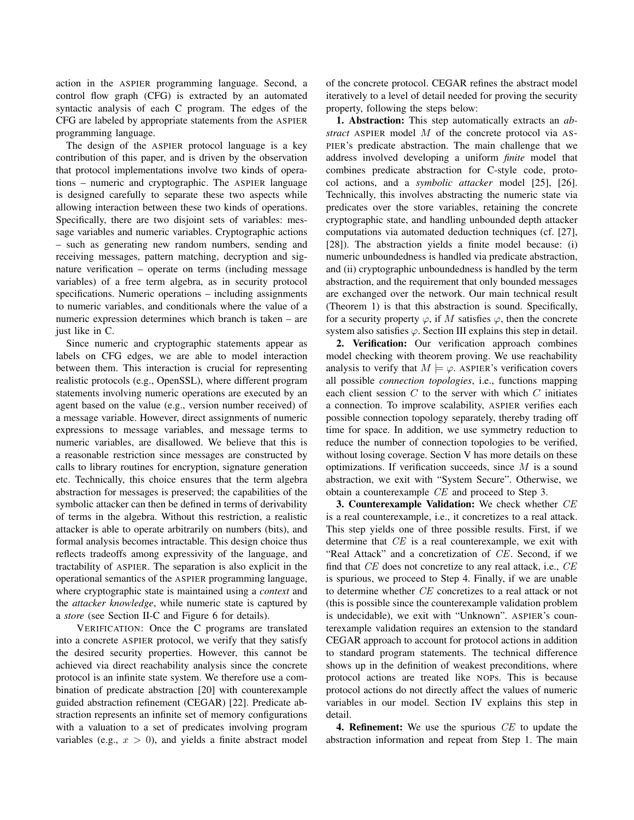action in the ASPIER programming language. Second, a control flow graph (CFG) is extracted by an automated syntactic analysis of each C program. The edges of the CFG are labeled by appropriate statements from the ASPIER programming language.

The design of the ASPIER protocol language is a key contribution of this paper, and is driven by the observation that protocol implementations involve two kinds of operations – numeric and cryptographic. The ASPIER language is designed carefully to separate these two aspects while allowing interaction between these two kinds of operations. Specifically, there are two disjoint sets of variables: message variables and numeric variables. Cryptographic actions – such as generating new random numbers, sending and receiving messages, pattern matching, decryption and signature verification – operate on terms (including message variables) of a free term algebra, as in security protocol specifications. Numeric operations – including assignments to numeric variables, and conditionals where the value of a numeric expression determines which branch is taken – are just like in C.

Since numeric and cryptographic statements appear as labels on CFG edges, we are able to model interaction between them. This interaction is crucial for representing realistic protocols (e.g., OpenSSL), where different program statements involving numeric operations are executed by an agent based on the value (e.g., version number received) of a message variable. However, direct assignments of numeric expressions to message variables, and message terms to numeric variables, are disallowed. We believe that this is a reasonable restriction since messages are constructed by calls to library routines for encryption, signature generation etc. Technically, this choice ensures that the term algebra abstraction for messages is preserved; the capabilities of the symbolic attacker can then be defined in terms of derivability of terms in the algebra. Without this restriction, a realistic attacker is able to operate arbitrarily on numbers (bits), and formal analysis becomes intractable. This design choice thus reflects tradeoffs among expressivity of the language, and tractability of ASPIER. The separation is also explicit in the operational semantics of the ASPIER programming language, where cryptographic state is maintained using a *context* and the *attacker knowledge*, while numeric state is captured by a *store* (see Section II-C and Figure 6 for details).

VERIFICATION: Once the C programs are translated into a concrete ASPIER protocol, we verify that they satisfy the desired security properties. However, this cannot be achieved via direct reachability analysis since the concrete protocol is an infinite state system. We therefore use a combination of predicate abstraction [20] with counterexample guided abstraction refinement (CEGAR) [22]. Predicate abstraction represents an infinite set of memory configurations with a valuation to a set of predicates involving program variables (e.g.,  $x > 0$ ), and yields a finite abstract model of the concrete protocol. CEGAR refines the abstract model iteratively to a level of detail needed for proving the security property, following the steps below:

**1. Abstraction:** This step automatically extracts an *abstract* ASPIER model M of the concrete protocol via AS-PIER's predicate abstraction. The main challenge that we address involved developing a uniform *finite* model that combines predicate abstraction for C-style code, protocol actions, and a *symbolic attacker* model [25], [26]. Technically, this involves abstracting the numeric state via predicates over the store variables, retaining the concrete cryptographic state, and handling unbounded depth attacker computations via automated deduction techniques (cf. [27], [28]). The abstraction yields a finite model because: (i) numeric unboundedness is handled via predicate abstraction, and (ii) cryptographic unboundedness is handled by the term abstraction, and the requirement that only bounded messages are exchanged over the network. Our main technical result (Theorem 1) is that this abstraction is sound. Specifically, for a security property  $\varphi$ , if M satisfies  $\varphi$ , then the concrete system also satisfies  $\varphi$ . Section III explains this step in detail.

**2. Verification:** Our verification approach combines model checking with theorem proving. We use reachability analysis to verify that  $M \models \varphi$ . ASPIER's verification covers all possible *connection topologies*, i.e., functions mapping each client session  $C$  to the server with which  $C$  initiates a connection. To improve scalability, ASPIER verifies each possible connection topology separately, thereby trading off time for space. In addition, we use symmetry reduction to reduce the number of connection topologies to be verified, without losing coverage. Section V has more details on these optimizations. If verification succeeds, since  $M$  is a sound abstraction, we exit with "System Secure". Otherwise, we obtain a counterexample CE and proceed to Step 3.

**3. Counterexample Validation:** We check whether CE is a real counterexample, i.e., it concretizes to a real attack. This step yields one of three possible results. First, if we determine that CE is a real counterexample, we exit with "Real Attack" and a concretization of CE. Second, if we find that  $CE$  does not concretize to any real attack, i.e.,  $CE$ is spurious, we proceed to Step 4. Finally, if we are unable to determine whether CE concretizes to a real attack or not (this is possible since the counterexample validation problem is undecidable), we exit with "Unknown". ASPIER's counterexample validation requires an extension to the standard CEGAR approach to account for protocol actions in addition to standard program statements. The technical difference shows up in the definition of weakest preconditions, where protocol actions are treated like NOPs. This is because protocol actions do not directly affect the values of numeric variables in our model. Section IV explains this step in detail.

**4. Refinement:** We use the spurious CE to update the abstraction information and repeat from Step 1. The main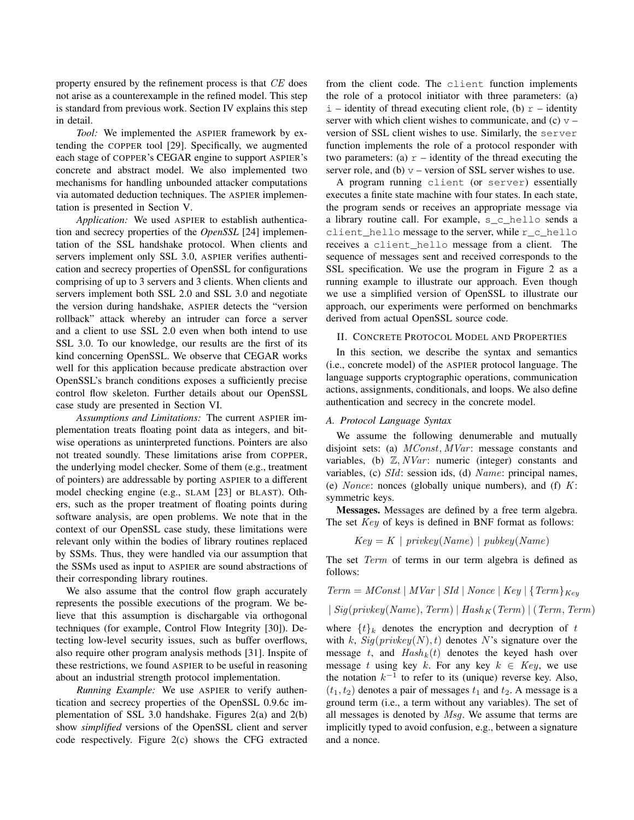property ensured by the refinement process is that CE does not arise as a counterexample in the refined model. This step is standard from previous work. Section IV explains this step in detail.

*Tool:* We implemented the ASPIER framework by extending the COPPER tool [29]. Specifically, we augmented each stage of COPPER's CEGAR engine to support ASPIER's concrete and abstract model. We also implemented two mechanisms for handling unbounded attacker computations via automated deduction techniques. The ASPIER implementation is presented in Section V.

*Application:* We used ASPIER to establish authentication and secrecy properties of the *OpenSSL* [24] implementation of the SSL handshake protocol. When clients and servers implement only SSL 3.0, ASPIER verifies authentication and secrecy properties of OpenSSL for configurations comprising of up to 3 servers and 3 clients. When clients and servers implement both SSL 2.0 and SSL 3.0 and negotiate the version during handshake, ASPIER detects the "version rollback" attack whereby an intruder can force a server and a client to use SSL 2.0 even when both intend to use SSL 3.0. To our knowledge, our results are the first of its kind concerning OpenSSL. We observe that CEGAR works well for this application because predicate abstraction over OpenSSL's branch conditions exposes a sufficiently precise control flow skeleton. Further details about our OpenSSL case study are presented in Section VI.

*Assumptions and Limitations:* The current ASPIER implementation treats floating point data as integers, and bitwise operations as uninterpreted functions. Pointers are also not treated soundly. These limitations arise from COPPER, the underlying model checker. Some of them (e.g., treatment of pointers) are addressable by porting ASPIER to a different model checking engine (e.g., SLAM [23] or BLAST). Others, such as the proper treatment of floating points during software analysis, are open problems. We note that in the context of our OpenSSL case study, these limitations were relevant only within the bodies of library routines replaced by SSMs. Thus, they were handled via our assumption that the SSMs used as input to ASPIER are sound abstractions of their corresponding library routines.

We also assume that the control flow graph accurately represents the possible executions of the program. We believe that this assumption is dischargable via orthogonal techniques (for example, Control Flow Integrity [30]). Detecting low-level security issues, such as buffer overflows, also require other program analysis methods [31]. Inspite of these restrictions, we found ASPIER to be useful in reasoning about an industrial strength protocol implementation.

*Running Example:* We use ASPIER to verify authentication and secrecy properties of the OpenSSL 0.9.6c implementation of SSL 3.0 handshake. Figures 2(a) and 2(b) show *simplified* versions of the OpenSSL client and server code respectively. Figure 2(c) shows the CFG extracted from the client code. The client function implements the role of a protocol initiator with three parameters: (a)  $i$  – identity of thread executing client role, (b)  $r$  – identity server with which client wishes to communicate, and (c)  $v$ version of SSL client wishes to use. Similarly, the server function implements the role of a protocol responder with two parameters: (a)  $r$  – identity of the thread executing the server role, and (b)  $v$  – version of SSL server wishes to use.

A program running client (or server) essentially executes a finite state machine with four states. In each state, the program sends or receives an appropriate message via a library routine call. For example, s\_c\_hello sends a client hello message to the server, while r\_c\_hello receives a client\_hello message from a client. The sequence of messages sent and received corresponds to the SSL specification. We use the program in Figure 2 as a running example to illustrate our approach. Even though we use a simplified version of OpenSSL to illustrate our approach, our experiments were performed on benchmarks derived from actual OpenSSL source code.

## II. CONCRETE PROTOCOL MODEL AND PROPERTIES

In this section, we describe the syntax and semantics (i.e., concrete model) of the ASPIER protocol language. The language supports cryptographic operations, communication actions, assignments, conditionals, and loops. We also define authentication and secrecy in the concrete model.

# *A. Protocol Language Syntax*

We assume the following denumerable and mutually disjoint sets: (a)  $MConst, MVar$ : message constants and variables, (b)  $\mathbb{Z}, NVar$ : numeric (integer) constants and variables, (c) SId: session ids, (d) Name: principal names, (e) *Nonce*: nonces (globally unique numbers), and (f)  $K$ : symmetric keys.

**Messages.** Messages are defined by a free term algebra. The set Key of keys is defined in BNF format as follows:

$$
Key = K \mid \text{privkey}(Name) \mid \text{pubkey}(Name)
$$

The set Term of terms in our term algebra is defined as follows:

Term = 
$$
MConst
$$
 |  $MVar$  |  $SId$  |  $Nonce$  |  $Key$  |  $\{Term\}_{Key}$ 

 $| Sig(privkey(Name), Term) | Hash_K (Term) | (Term, Term)$ 

where  $\{t\}_k$  denotes the encryption and decryption of t with k,  $Sig(privkey(N), t)$  denotes N's signature over the message t, and  $Hash_k(t)$  denotes the keyed hash over message t using key k. For any key  $k \in Key$ , we use the notation  $k^{-1}$  to refer to its (unique) reverse key. Also,  $(t_1, t_2)$  denotes a pair of messages  $t_1$  and  $t_2$ . A message is a ground term (i.e., a term without any variables). The set of all messages is denoted by Msg. We assume that terms are implicitly typed to avoid confusion, e.g., between a signature and a nonce.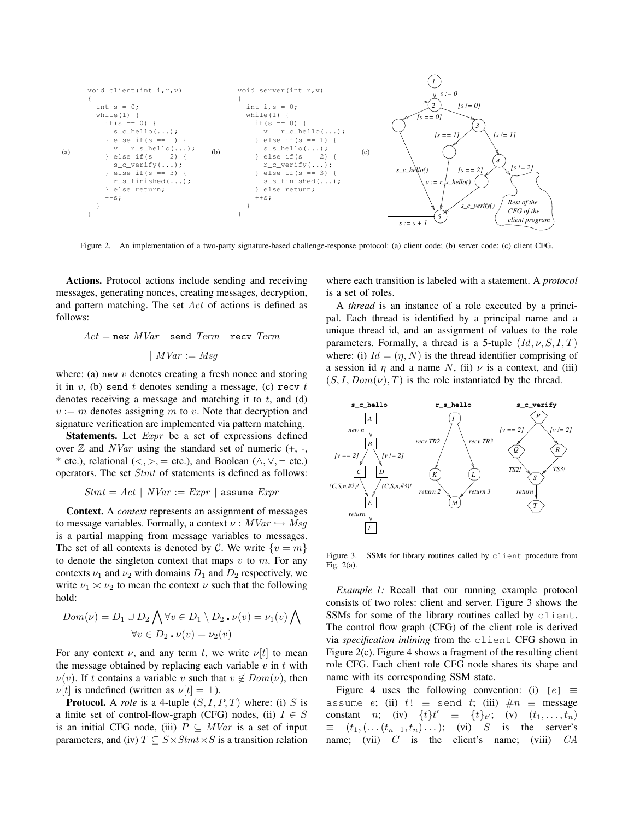

Figure 2. An implementation of a two-party signature-based challenge-response protocol: (a) client code; (b) server code; (c) client CFG.

**Actions.** Protocol actions include sending and receiving messages, generating nonces, creating messages, decryption, and pattern matching. The set Act of actions is defined as follows:

$$
Act = new\ MVar \mid send\ Term \mid recv\ Term
$$

$$
\mid\ MVar := Msg
$$

where: (a) new  $v$  denotes creating a fresh nonce and storing it in  $v$ , (b) send t denotes sending a message, (c) recv t denotes receiving a message and matching it to  $t$ , and (d)  $v := m$  denotes assigning m to v. Note that decryption and signature verification are implemented via pattern matching.

**Statements.** Let Expr be a set of expressions defined over  $\mathbb Z$  and  $NVar$  using the standard set of numeric (+, -, \* etc.), relational  $\langle \langle, \rangle, =$  etc.), and Boolean  $(\wedge, \vee, \neg$  etc.) operators. The set Stmt of statements is defined as follows:

$$
Stmt = Act | NVar := Expr | \text{assume } Expr
$$

**Context.** A *context* represents an assignment of messages to message variables. Formally, a context  $\nu : MVar \hookrightarrow Msg$ is a partial mapping from message variables to messages. The set of all contexts is denoted by C. We write  $\{v = m\}$ to denote the singleton context that maps  $v$  to  $m$ . For any contexts  $\nu_1$  and  $\nu_2$  with domains  $D_1$  and  $D_2$  respectively, we write  $\nu_1 \bowtie \nu_2$  to mean the context  $\nu$  such that the following hold:

$$
Dom(\nu) = D_1 \cup D_2 \bigwedge \forall v \in D_1 \setminus D_2 \cdot \nu(v) = \nu_1(v) \bigwedge
$$
  
 
$$
\forall v \in D_2 \cdot \nu(v) = \nu_2(v)
$$

For any context  $\nu$ , and any term t, we write  $\nu[t]$  to mean the message obtained by replacing each variable  $v$  in  $t$  with  $\nu(v)$ . If t contains a variable v such that  $v \notin Dom(v)$ , then  $\nu[t]$  is undefined (written as  $\nu[t] = \perp$ ).

**Protocol.** A *role* is a 4-tuple  $(S, I, P, T)$  where: (i) S is a finite set of control-flow-graph (CFG) nodes, (ii)  $I \in S$ is an initial CFG node, (iii)  $P \subseteq MVar$  is a set of input parameters, and (iv)  $T \subseteq S \times Stmt \times S$  is a transition relation where each transition is labeled with a statement. A *protocol* is a set of roles.

A *thread* is an instance of a role executed by a principal. Each thread is identified by a principal name and a unique thread id, and an assignment of values to the role parameters. Formally, a thread is a 5-tuple  $(Id, \nu, S, I, T)$ where: (i)  $Id = (n, N)$  is the thread identifier comprising of a session id  $\eta$  and a name N, (ii)  $\nu$  is a context, and (iii)  $(S, I, Dom(\nu), T)$  is the role instantiated by the thread.



Figure 3. SSMs for library routines called by client procedure from Fig. 2(a).

*Example 1:* Recall that our running example protocol consists of two roles: client and server. Figure 3 shows the SSMs for some of the library routines called by client. The control flow graph (CFG) of the client role is derived via *specification inlining* from the client CFG shown in Figure 2(c). Figure 4 shows a fragment of the resulting client role CFG. Each client role CFG node shares its shape and name with its corresponding SSM state.

Figure 4 uses the following convention: (i)  $[e] \equiv$ assume e; (ii)  $t! \equiv$  send t; (iii)  $\#n \equiv$  message constant *n*; (iv)  $\{t\}t' \equiv \{t\}_{t'}$ ; (v)  $(t_1, ..., t_n)$  $\equiv$   $(t_1, \ldots, (t_{n-1}, t_n) \ldots);$  (vi) S is the server's name; (vii)  $C$  is the client's name; (viii)  $CA$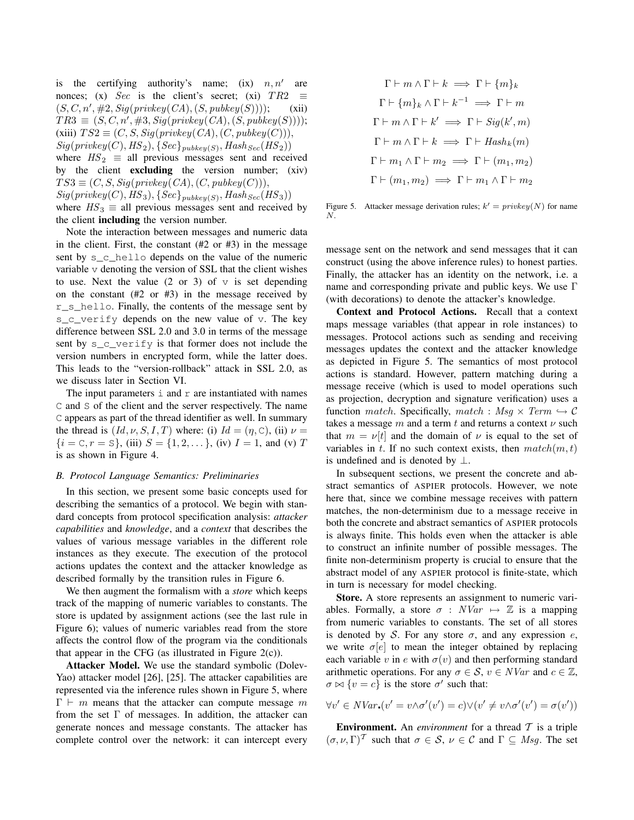is the certifying authority's name; (ix)  $n, n'$ are nonces; (x) Sec is the client's secret; (xi)  $TR2 \equiv$  $(S, C, n', #2, Sig(privkey(CA), (S, pubkey(S))))$ ; (xii)  $TR3 \equiv (S, C, n', #3, Sig(privkey(CA), (S, pubkey(S))));$ (xiii)  $TS2 \equiv (C, S, Sig(privkey(CA), (C, pubkey(C))),$  $Sig(privkey(C), HS_2), \{Sec\}_{pubkey(S)}, Hash_{Sec}(HS_2))$ where  $HS_2 \equiv$  all previous messages sent and received by the client **excluding** the version number; (xiv)  $TS3 \equiv (C, S, Sig(privkey(CA), (C, pubkey(C))),$  $Sig(privkey(C), HS_3), \{Sec\}_{pubkey(S)}, Hash_{Sec}(HS_3))$ where  $HS_3 \equiv$  all previous messages sent and received by the client **including** the version number.

Note the interaction between messages and numeric data in the client. First, the constant  $(#2 \text{ or }#3)$  in the message sent by s\_c\_hello depends on the value of the numeric variable v denoting the version of SSL that the client wishes to use. Next the value  $(2 \text{ or } 3)$  of  $\nu$  is set depending on the constant (#2 or #3) in the message received by r\_s\_hello. Finally, the contents of the message sent by s\_c\_verify depends on the new value of v. The key difference between SSL 2.0 and 3.0 in terms of the message sent by  $s$  c verify is that former does not include the version numbers in encrypted form, while the latter does. This leads to the "version-rollback" attack in SSL 2.0, as we discuss later in Section VI.

The input parameters  $\pm$  and  $\pm$  are instantiated with names C and S of the client and the server respectively. The name C appears as part of the thread identifier as well. In summary the thread is  $(Id, \nu, S, I, T)$  where: (i)  $Id = (\eta, C)$ , (ii)  $\nu =$  $\{i = \mathbb{C}, r = \mathbb{S}\},$  (iii)  $S = \{1, 2, \dots\},$  (iv)  $I = 1$ , and (v) T is as shown in Figure 4.

#### *B. Protocol Language Semantics: Preliminaries*

In this section, we present some basic concepts used for describing the semantics of a protocol. We begin with standard concepts from protocol specification analysis: *attacker capabilities* and *knowledge*, and a *context* that describes the values of various message variables in the different role instances as they execute. The execution of the protocol actions updates the context and the attacker knowledge as described formally by the transition rules in Figure 6.

We then augment the formalism with a *store* which keeps track of the mapping of numeric variables to constants. The store is updated by assignment actions (see the last rule in Figure 6); values of numeric variables read from the store affects the control flow of the program via the conditionals that appear in the CFG (as illustrated in Figure  $2(c)$ ).

**Attacker Model.** We use the standard symbolic (Dolev-Yao) attacker model [26], [25]. The attacker capabilities are represented via the inference rules shown in Figure 5, where  $\Gamma \vdash m$  means that the attacker can compute message m from the set  $\Gamma$  of messages. In addition, the attacker can generate nonces and message constants. The attacker has complete control over the network: it can intercept every

$$
\Gamma \vdash m \land \Gamma \vdash k \implies \Gamma \vdash \{m\}_k
$$

$$
\Gamma \vdash \{m\}_k \land \Gamma \vdash k^{-1} \implies \Gamma \vdash m
$$

$$
\Gamma \vdash m \land \Gamma \vdash k' \implies \Gamma \vdash Sig(k', m)
$$

$$
\Gamma \vdash m \land \Gamma \vdash k \implies \Gamma \vdash Hash_k(m)
$$

$$
\Gamma \vdash m_1 \land \Gamma \vdash m_2 \implies \Gamma \vdash (m_1, m_2)
$$

$$
\Gamma \vdash (m_1, m_2) \implies \Gamma \vdash m_1 \land \Gamma \vdash m_2
$$

Figure 5. Attacker message derivation rules;  $k' = \text{privkey}(N)$  for name N.

message sent on the network and send messages that it can construct (using the above inference rules) to honest parties. Finally, the attacker has an identity on the network, i.e. a name and corresponding private and public keys. We use Γ (with decorations) to denote the attacker's knowledge.

**Context and Protocol Actions.** Recall that a context maps message variables (that appear in role instances) to messages. Protocol actions such as sending and receiving messages updates the context and the attacker knowledge as depicted in Figure 5. The semantics of most protocol actions is standard. However, pattern matching during a message receive (which is used to model operations such as projection, decryption and signature verification) uses a function *match*. Specifically, *match* :  $Msg \times Term \hookrightarrow \mathcal{C}$ takes a message m and a term t and returns a context  $\nu$  such that  $m = \nu[t]$  and the domain of  $\nu$  is equal to the set of variables in t. If no such context exists, then  $match(m, t)$ is undefined and is denoted by  $\perp$ .

In subsequent sections, we present the concrete and abstract semantics of ASPIER protocols. However, we note here that, since we combine message receives with pattern matches, the non-determinism due to a message receive in both the concrete and abstract semantics of ASPIER protocols is always finite. This holds even when the attacker is able to construct an infinite number of possible messages. The finite non-determinism property is crucial to ensure that the abstract model of any ASPIER protocol is finite-state, which in turn is necessary for model checking.

**Store.** A store represents an assignment to numeric variables. Formally, a store  $\sigma$  :  $NVar \rightarrow \mathbb{Z}$  is a mapping from numeric variables to constants. The set of all stores is denoted by S. For any store  $\sigma$ , and any expression  $e$ , we write  $\sigma[e]$  to mean the integer obtained by replacing each variable v in e with  $\sigma(v)$  and then performing standard arithmetic operations. For any  $\sigma \in \mathcal{S}$ ,  $v \in NVar$  and  $c \in \mathbb{Z}$ ,  $\sigma \bowtie \{v = c\}$  is the store  $\sigma'$  such that:

$$
\forall v' \in NVar_\bullet(v'=v \wedge \sigma'(v')=c) \vee (v'\neq v \wedge \sigma'(v')=\sigma(v'))
$$

**Environment.** An *environment* for a thread  $T$  is a triple  $(\sigma, \nu, \Gamma)^T$  such that  $\sigma \in S$ ,  $\nu \in C$  and  $\Gamma \subseteq Msg$ . The set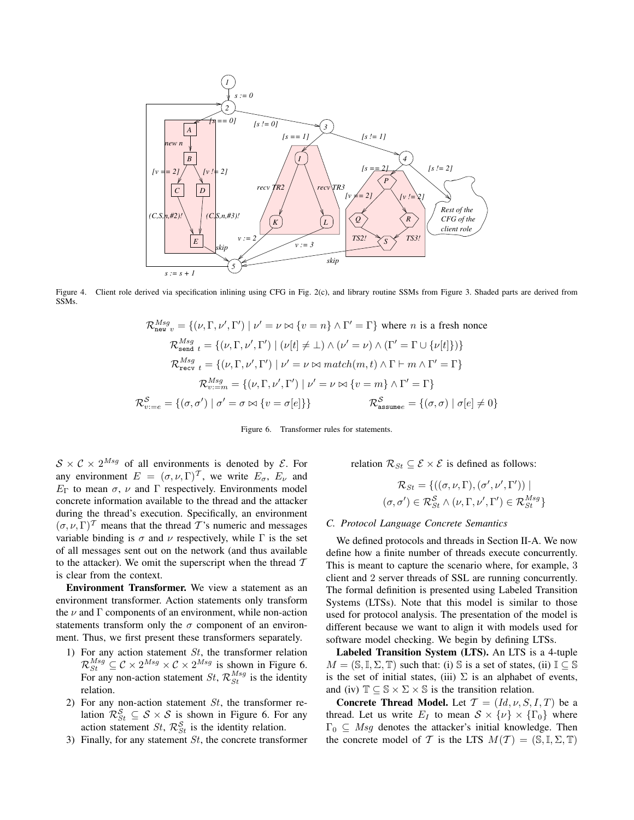

Figure 4. Client role derived via specification inlining using CFG in Fig. 2(c), and library routine SSMs from Figure 3. Shaded parts are derived from SSMs.

$$
\mathcal{R}_{\text{new}}^{Msg} = \{ (\nu, \Gamma, \nu', \Gamma') \mid \nu' = \nu \bowtie \{ v = n \} \land \Gamma' = \Gamma \} \text{ where } n \text{ is a fresh nonce}
$$
\n
$$
\mathcal{R}_{\text{send}}^{Msg} = \{ (\nu, \Gamma, \nu', \Gamma') \mid (\nu[t] \neq \bot) \land (\nu' = \nu) \land (\Gamma' = \Gamma \cup \{ \nu[t] \}) \}
$$
\n
$$
\mathcal{R}_{\text{recv}}^{Msg} = \{ (\nu, \Gamma, \nu', \Gamma') \mid \nu' = \nu \bowtie \text{match}(m, t) \land \Gamma \vdash m \land \Gamma' = \Gamma \}
$$
\n
$$
\mathcal{R}_{v := m}^{Msg} = \{ (\nu, \Gamma, \nu', \Gamma') \mid \nu' = \nu \bowtie \{ v = m \} \land \Gamma' = \Gamma \}
$$
\n
$$
\mathcal{R}_{v := e}^{S} = \{ (\sigma, \sigma') \mid \sigma' = \sigma \bowtie \{ v = \sigma[e] \} \}
$$
\n
$$
\mathcal{R}_{\text{assume}}^{S} = \{ (\sigma, \sigma) \mid \sigma[e] \neq 0 \}
$$

Figure 6. Transformer rules for statements.

 $S \times C \times 2^{Msg}$  of all environments is denoted by  $\mathcal{E}$ . For any environment  $E = (\sigma, \nu, \Gamma)^T$ , we write  $E_{\sigma}$ ,  $E_{\nu}$  and  $E<sub>Γ</sub>$  to mean  $\sigma$ ,  $\nu$  and Γ respectively. Environments model concrete information available to the thread and the attacker during the thread's execution. Specifically, an environment  $(\sigma, \nu, \Gamma)^T$  means that the thread T's numeric and messages variable binding is  $\sigma$  and  $\nu$  respectively, while  $\Gamma$  is the set of all messages sent out on the network (and thus available to the attacker). We omit the superscript when the thread  $T$ is clear from the context.

**Environment Transformer.** We view a statement as an environment transformer. Action statements only transform the  $\nu$  and  $\Gamma$  components of an environment, while non-action statements transform only the  $\sigma$  component of an environment. Thus, we first present these transformers separately.

- 1) For any action statement  $St$ , the transformer relation  $\mathcal{R}_{St}^{Msg} \subseteq \mathcal{C} \times 2^{Msg} \times \mathcal{C} \times 2^{Msg}$  is shown in Figure 6. For any non-action statement  $St$ ,  $\mathcal{R}_{St}^{Msg}$  is the identity relation.
- 2) For any non-action statement  $St$ , the transformer relation  $\mathcal{R}^{\mathcal{S}}_{St} \subseteq \mathcal{S} \times \mathcal{S}$  is shown in Figure 6. For any action statement  $St$ ,  $\mathcal{R}_{St}^{\mathcal{S}}$  is the identity relation.
- 3) Finally, for any statement  $St$ , the concrete transformer

relation  $\mathcal{R}_{St} \subseteq \mathcal{E} \times \mathcal{E}$  is defined as follows:

$$
\mathcal{R}_{St} = \{ ((\sigma, \nu, \Gamma), (\sigma', \nu', \Gamma')) \mid (\sigma, \sigma') \in \mathcal{R}_{St}^{S_t} \land (\nu, \Gamma, \nu', \Gamma') \in \mathcal{R}_{St}^{Msg} \}
$$

# *C. Protocol Language Concrete Semantics*

We defined protocols and threads in Section II-A. We now define how a finite number of threads execute concurrently. This is meant to capture the scenario where, for example, 3 client and 2 server threads of SSL are running concurrently. The formal definition is presented using Labeled Transition Systems (LTSs). Note that this model is similar to those used for protocol analysis. The presentation of the model is different because we want to align it with models used for software model checking. We begin by defining LTSs.

**Labeled Transition System (LTS).** An LTS is a 4-tuple  $M = (\mathbb{S}, \mathbb{I}, \Sigma, \mathbb{T})$  such that: (i)  $\mathbb{S}$  is a set of states, (ii)  $\mathbb{I} \subseteq \mathbb{S}$ is the set of initial states, (iii)  $\Sigma$  is an alphabet of events, and (iv)  $\mathbb{T} \subseteq \mathbb{S} \times \Sigma \times \mathbb{S}$  is the transition relation.

**Concrete Thread Model.** Let  $T = (Id, \nu, S, I, T)$  be a thread. Let us write  $E_I$  to mean  $S \times \{\nu\} \times \{\Gamma_0\}$  where  $\Gamma_0 \subseteq Msg$  denotes the attacker's initial knowledge. Then the concrete model of T is the LTS  $M(T) = (\mathbb{S}, \mathbb{I}, \Sigma, \mathbb{T})$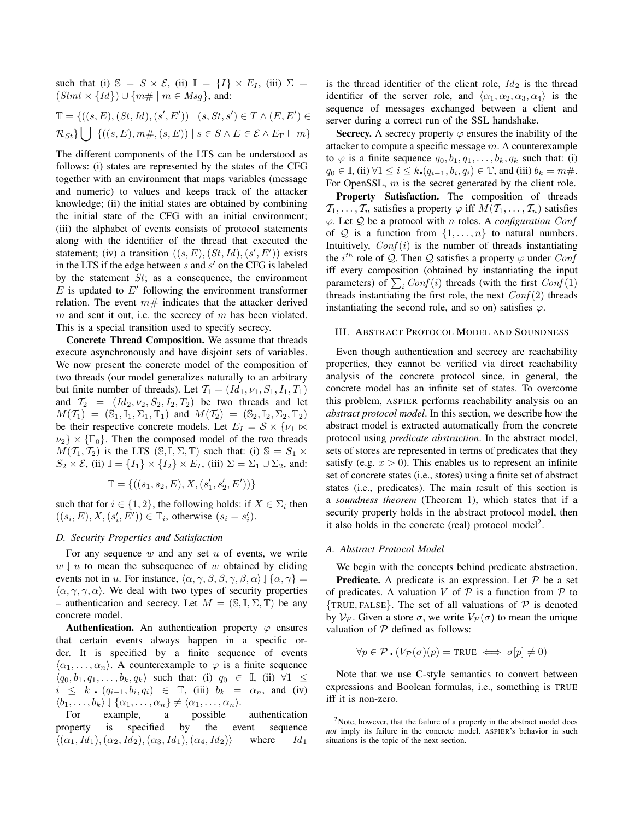such that (i)  $\mathbb{S} = S \times \mathcal{E}$ , (ii)  $\mathbb{I} = \{I\} \times E_I$ , (iii)  $\Sigma =$  $(Stmt \times \{Id\}) \cup \{m\# \mid m \in Msg\}$ , and:

$$
\mathbb{T} = \{ ((s, E), (St, Id), (s', E')) \mid (s, St, s') \in T \land (E, E') \in
$$
  

$$
\mathcal{R}_{St} \} \bigcup \{ ((s, E), m\#, (s, E)) \mid s \in S \land E \in \mathcal{E} \land E_{\Gamma} \vdash m \}
$$

The different components of the LTS can be understood as follows: (i) states are represented by the states of the CFG together with an environment that maps variables (message and numeric) to values and keeps track of the attacker knowledge; (ii) the initial states are obtained by combining the initial state of the CFG with an initial environment; (iii) the alphabet of events consists of protocol statements along with the identifier of the thread that executed the statement; (iv) a transition  $((s, E), (St, Id), (s', E'))$  exists in the LTS if the edge between  $s$  and  $s'$  on the CFG is labeled by the statement  $St$ ; as a consequence, the environment  $\overline{E}$  is updated to  $E'$  following the environment transformer relation. The event  $m#$  indicates that the attacker derived  $m$  and sent it out, i.e. the secrecy of  $m$  has been violated. This is a special transition used to specify secrecy.

**Concrete Thread Composition.** We assume that threads execute asynchronously and have disjoint sets of variables. We now present the concrete model of the composition of two threads (our model generalizes naturally to an arbitrary but finite number of threads). Let  $T_1 = (Id_1, \nu_1, S_1, I_1, T_1)$ and  $T_2 = (Id_2, \nu_2, S_2, I_2, T_2)$  be two threads and let  $M(\mathcal{T}_1) = (\mathbb{S}_1, \mathbb{I}_1, \Sigma_1, \mathbb{T}_1)$  and  $M(\mathcal{T}_2) = (\mathbb{S}_2, \mathbb{I}_2, \Sigma_2, \mathbb{T}_2)$ be their respective concrete models. Let  $E_I = S \times \{ \nu_1 \bowtie \}$  $\nu_2$   $\times$  { $\Gamma_0$ }. Then the composed model of the two threads  $M(\mathcal{T}_1, \mathcal{T}_2)$  is the LTS  $(\mathbb{S}, \mathbb{I}, \Sigma, \mathbb{T})$  such that: (i)  $\mathbb{S} = S_1 \times$  $S_2 \times \mathcal{E}$ , (ii)  $\mathbb{I} = \{I_1\} \times \{I_2\} \times E_I$ , (iii)  $\Sigma = \Sigma_1 \cup \Sigma_2$ , and:

$$
\mathbb{T} = \{ ((s_1, s_2, E), X, (s_1', s_2', E')) \}
$$

such that for  $i \in \{1, 2\}$ , the following holds: if  $X \in \Sigma_i$  then  $((s_i, E), X, (s'_i, E')) \in \mathbb{T}_i$ , otherwise  $(s_i = s'_i)$ .

# *D. Security Properties and Satisfaction*

For any sequence  $w$  and any set  $u$  of events, we write  $w \mid u$  to mean the subsequence of w obtained by eliding events not in u. For instance,  $\langle \alpha, \gamma, \beta, \beta, \gamma, \beta, \alpha \rangle \downharpoonleft \{ \alpha, \gamma \} =$  $\langle \alpha, \gamma, \gamma, \alpha \rangle$ . We deal with two types of security properties – authentication and secrecy. Let  $M = (\mathbb{S}, \mathbb{I}, \Sigma, \mathbb{T})$  be any concrete model.

**Authentication.** An authentication property  $\varphi$  ensures that certain events always happen in a specific order. It is specified by a finite sequence of events  $\langle \alpha_1, \ldots, \alpha_n \rangle$ . A counterexample to  $\varphi$  is a finite sequence  $\langle q_0, b_1, q_1, \ldots, b_k, q_k \rangle$  such that: (i)  $q_0 \in \mathbb{I}$ , (ii)  $\forall 1 \leq$  $i \leq k \cdot (q_{i-1}, b_i, q_i) \in \mathbb{T}$ , (iii)  $b_k = \alpha_n$ , and (iv)  $\langle b_1, \ldots, b_k \rangle \downarrow \{ \alpha_1, \ldots, \alpha_n \} \neq \langle \alpha_1, \ldots, \alpha_n \rangle.$ 

For example, a possible authentication property is specified by the event sequence  $\langle (\alpha_1,Id_1),(\alpha_2,Id_2),(\alpha_3,Id_1),(\alpha_4,Id_2) \rangle$  where  $Id_1$ 

is the thread identifier of the client role,  $Id_2$  is the thread identifier of the server role, and  $\langle \alpha_1, \alpha_2, \alpha_3, \alpha_4 \rangle$  is the sequence of messages exchanged between a client and server during a correct run of the SSL handshake.

**Secrecy.** A secrecy property  $\varphi$  ensures the inability of the attacker to compute a specific message m. A counterexample to  $\varphi$  is a finite sequence  $q_0, b_1, q_1, \ldots, b_k, q_k$  such that: (i)  $q_0 \in \mathbb{I}$ , (ii)  $\forall 1 \le i \le k$ .  $(q_{i-1}, b_i, q_i) \in \mathbb{T}$ , and (iii)  $b_k = m \#$ . For OpenSSL, m is the secret generated by the client role.

**Property Satisfaction.** The composition of threads  $\mathcal{T}_1, \ldots, \mathcal{T}_n$  satisfies a property  $\varphi$  iff  $M(\mathcal{T}_1, \ldots, \mathcal{T}_n)$  satisfies ϕ. Let Q be a protocol with n roles. A *configuration* Conf of Q is a function from  $\{1, \ldots, n\}$  to natural numbers. Intuitively,  $Conf(i)$  is the number of threads instantiating the *i*<sup>th</sup> role of Q. Then Q satisfies a property  $\varphi$  under Conf iff every composition (obtained by instantiating the input parameters) of  $\sum_i Conf(i)$  threads (with the first  $Conf(1)$ threads instantiating the first role, the next  $Conf(2)$  threads instantiating the second role, and so on) satisfies  $\varphi$ .

#### III. ABSTRACT PROTOCOL MODEL AND SOUNDNESS

Even though authentication and secrecy are reachability properties, they cannot be verified via direct reachability analysis of the concrete protocol since, in general, the concrete model has an infinite set of states. To overcome this problem, ASPIER performs reachability analysis on an *abstract protocol model*. In this section, we describe how the abstract model is extracted automatically from the concrete protocol using *predicate abstraction*. In the abstract model, sets of stores are represented in terms of predicates that they satisfy (e.g.  $x > 0$ ). This enables us to represent an infinite set of concrete states (i.e., stores) using a finite set of abstract states (i.e., predicates). The main result of this section is a *soundness theorem* (Theorem 1), which states that if a security property holds in the abstract protocol model, then it also holds in the concrete (real) protocol model<sup>2</sup>.

#### *A. Abstract Protocol Model*

We begin with the concepts behind predicate abstraction. **Predicate.** A predicate is an expression. Let  $P$  be a set of predicates. A valuation V of  $P$  is a function from  $P$  to  $\{TRUE, FALSE\}$ . The set of all valuations of  $P$  is denoted by  $V_{\mathcal{P}}$ . Given a store  $\sigma$ , we write  $V_{\mathcal{P}}(\sigma)$  to mean the unique valuation of  $P$  defined as follows:

$$
\forall p \in \mathcal{P} \cdot (V_{\mathcal{P}}(\sigma)(p) = \text{TRUE} \iff \sigma[p] \neq 0)
$$

Note that we use C-style semantics to convert between expressions and Boolean formulas, i.e., something is TRUE iff it is non-zero.

 $2$ Note, however, that the failure of a property in the abstract model does *not* imply its failure in the concrete model. ASPIER's behavior in such situations is the topic of the next section.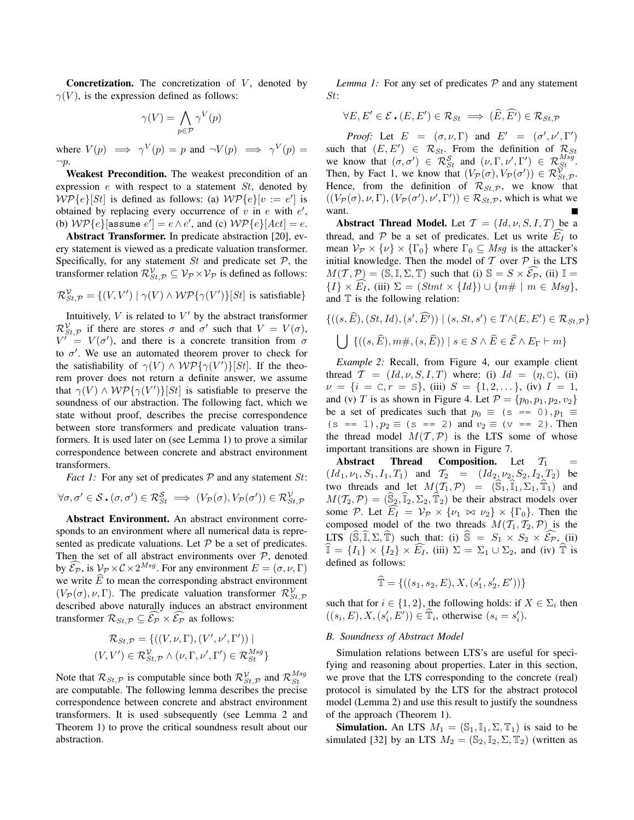**Concretization.** The concretization of  $V$ , denoted by  $\gamma(V)$ , is the expression defined as follows:

$$
\gamma(V) = \bigwedge_{p \in \mathcal{P}} \gamma^V(p)
$$

where  $V(p) \implies \gamma^V(p) = p$  and  $\neg V(p) \implies \gamma^V(p) =$  $\neg p$ .

**Weakest Precondition.** The weakest precondition of an expression  $e$  with respect to a statement  $St$ , denoted by  $W\mathcal{P}\lbrace e \rbrace [St]$  is defined as follows: (a)  $W\mathcal{P}\lbrace e \rbrace [v := e']$  is obtained by replacing every occurrence of  $v$  in  $e$  with  $e'$ , (b)  $W\mathcal{P}\{e\}$ [assume  $e'$ ] =  $e \wedge e'$ , and (c)  $W\mathcal{P}\{e\}$ [Act] =  $e$ .

**Abstract Transformer.** In predicate abstraction [20], every statement is viewed as a predicate valuation transformer. Specifically, for any statement  $St$  and predicate set  $P$ , the transformer relation  $\mathcal{R}_{St,\mathcal{P}}^{\mathcal{V}} \subseteq \mathcal{V}_{\mathcal{P}} \times \mathcal{V}_{\mathcal{P}}$  is defined as follows:

 $\mathcal{R}_{St,\mathcal{P}}^{\mathcal{V}} = \{(V, V') \mid \gamma(V) \wedge \mathcal{WP}\{\gamma(V')\}[St]$  is satisfiable}

Intuitively,  $V$  is related to  $V'$  by the abstract transformer  $\mathcal{R}_{St,\mathcal{P}}^{\mathcal{V}}$  if there are stores  $\sigma$  and  $\sigma'$  such that  $V = V(\sigma)$ ,  $V' = V(\sigma')$ , and there is a concrete transition from  $\sigma$ to  $\sigma'$ . We use an automated theorem prover to check for the satisfiability of  $\gamma(V) \wedge \mathcal{WP}\{\gamma(V^{\prime})\}[St]$ . If the theorem prover does not return a definite answer, we assume that  $\gamma(V) \wedge \mathcal{WP}\{\gamma(V')\}[St]$  is satisfiable to preserve the soundness of our abstraction. The following fact, which we state without proof, describes the precise correspondence between store transformers and predicate valuation transformers. It is used later on (see Lemma 1) to prove a similar correspondence between concrete and abstract environment transformers.

*Fact 1:* For any set of predicates  $P$  and any statement  $St$ :

$$
\forall \sigma, \sigma' \in \mathcal{S} \cdot (\sigma, \sigma') \in \mathcal{R}_{St}^{\mathcal{S}} \implies (V_{\mathcal{P}}(\sigma), V_{\mathcal{P}}(\sigma')) \in \mathcal{R}_{St, \mathcal{P}}^{\mathcal{V}}
$$

**Abstract Environment.** An abstract environment corresponds to an environment where all numerical data is represented as predicate valuations. Let  $P$  be a set of predicates. Then the set of all abstract environments over  $P$ , denoted by  $\widehat{\mathcal{E}_{\mathcal{P}}}$ , is  $\mathcal{V}_{\mathcal{P}} \times \mathcal{C} \times 2^{Msg}$ . For any environment  $E = (\sigma, \nu, \Gamma)$ we write  $\widehat{E}$  to mean the corresponding abstract environment  $(V_P(\sigma), \nu, \Gamma)$ . The predicate valuation transformer  $\mathcal{R}_{St, \mathcal{P}}^{\mathcal{V}}$ described above naturally induces an abstract environment transformer  $\mathcal{R}_{St,\mathcal{P}} \subseteq \widehat{\mathcal{E}_{\mathcal{P}}} \times \widehat{\mathcal{E}_{\mathcal{P}}}$  as follows:

$$
\mathcal{R}_{St,\mathcal{P}} = \{ ((V,\nu,\Gamma),(V',\nu',\Gamma')) \mid (V,V') \in \mathcal{R}_{St,\mathcal{P}}^{\mathcal{V}} \land (\nu,\Gamma,\nu',\Gamma') \in \mathcal{R}_{St}^{Msg} \}
$$

Note that  $\mathcal{R}_{St,\mathcal{P}}$  is computable since both  $\mathcal{R}_{St,\mathcal{P}}^{\mathcal{V}}$  and  $\mathcal{R}_{St}^{Msg}$ are computable. The following lemma describes the precise correspondence between concrete and abstract environment transformers. It is used subsequently (see Lemma 2 and Theorem 1) to prove the critical soundness result about our abstraction.

*Lemma 1:* For any set of predicates  $P$  and any statement St:

$$
\forall E, E' \in \mathcal{E} \cdot (E, E') \in \mathcal{R}_{St} \implies (\widehat{E}, \widehat{E'}) \in \mathcal{R}_{St, \mathcal{P}}
$$

*Proof:* Let  $E = (\sigma, \nu, \Gamma)$  and  $E' = (\sigma', \nu', \Gamma')$ such that  $(E, E') \in \mathcal{R}_{St}$ . From the definition of  $\mathcal{R}_{St}$ we know that  $(\sigma, \sigma') \in \mathcal{R}_{St}^{\mathcal{S}}$  and  $(\nu, \Gamma, \nu', \Gamma') \in \mathcal{R}_{St}^{Msg}$ . Then, by Fact 1, we know that  $(V_{\mathcal{P}}(\sigma), V_{\mathcal{P}}(\sigma')) \in \mathcal{R}_{St, \mathcal{P}}^{\mathcal{V}}$ . Hence, from the definition of  $\mathcal{R}_{St,\mathcal{P}}$ , we know that  $((V_P(\sigma), \nu, \Gamma), (V_P(\sigma'), \nu', \Gamma')) \in \mathcal{R}_{St, \mathcal{P}}$ , which is what we want.

**Abstract Thread Model.** Let  $T = (Id, \nu, S, I, T)$  be a thread, and  $P$  be a set of predicates. Let us write  $E_I$  to mean  $\mathcal{V}_{\mathcal{P}} \times {\{\nu\}} \times {\{\Gamma_0\}}$  where  $\Gamma_0 \subseteq Msg$  is the attacker's initial knowledge. Then the model of  $T$  over  $P$  is the LTS  $M(\mathcal{T}, \mathcal{P}) = (\mathbb{S}, \mathbb{I}, \Sigma, \mathbb{T})$  such that (i)  $\mathbb{S} = S \times \widehat{\mathcal{E}_{\mathcal{P}}}$ , (ii)  $\mathbb{I} =$  $\{I\} \times \widehat{E_I}$ , (iii)  $\Sigma = (Strat \times \{Id\}) \cup \{m \# \mid m \in Msg\},\$ and  $T$  is the following relation:

$$
\{((s,\widehat{E}), (St, Id), (s', \widehat{E'})) \mid (s, St, s') \in T \land (E, E') \in \mathcal{R}_{St, \mathcal{P}}\}
$$
  

$$
\bigcup \{((s,\widehat{E}), m\#, (s,\widehat{E})) \mid s \in S \land \widehat{E} \in \widehat{\mathcal{E}} \land E_{\Gamma} \vdash m\}
$$

*Example 2:* Recall, from Figure 4, our example client thread  $\mathcal{T} = (Id, \nu, S, I, T)$  where: (i)  $Id = (\eta, C)$ , (ii)  $\nu = \{i = \mathbb{C}, r = \mathbb{S}\},$  (iii)  $S = \{1, 2, \dots\},$  (iv)  $I = 1$ , and (v) T is as shown in Figure 4. Let  $\mathcal{P} = \{p_0, p_1, p_2, v_2\}$ be a set of predicates such that  $p_0 \equiv (s == 0), p_1 \equiv$  $(s == 1), p_2 \equiv (s == 2)$  and  $v_2 \equiv (v == 2)$ . Then the thread model  $M(T, \mathcal{P})$  is the LTS some of whose important transitions are shown in Figure 7.

**Abstract Thread Composition.** Let  $\mathcal{T}_1$  $(Id_1, \nu_1, S_1, I_1, T_1)$  and  $T_2 = (Id_2, \nu_2, S_2, I_2, T_2)$  be two threads and let  $M(\overline{T_1}, \mathcal{P}) = (\widehat{\hat{S}_1}, \widehat{I_1}, \widehat{\Sigma_1}, \widehat{T_1})$  and  $M(\mathcal{T}_2,\mathcal{P}) = (\widehat{\mathbb{S}}_2,\widehat{\mathbb{I}}_2,\Sigma_2,\widehat{\mathbb{T}}_2)$  be their abstract models over some P. Let  $E_1 = V_P \times \{v_1 \bowtie v_2\} \times \{\Gamma_0\}$ . Then the composed model of the two threads  $M(T_1, T_2, \mathcal{P})$  is the LTS  $(\widehat{S}, \widehat{\mathbb{I}}, \Sigma, \widehat{\mathbb{T}})$  such that: (i)  $\widehat{S} = S_1 \times S_2 \times \widehat{\mathcal{E}_{P}}$ , (ii)  $\widehat{\mathbb{I}} = \{I_1\} \times \{I_2\} \times \widehat{E_I}$ , (iii)  $\Sigma = \Sigma_1 \cup \Sigma_2$ , and (iv)  $\widehat{\mathbb{T}}$  is defined as follows:

$$
\widehat{\mathbb{T}} = \{ ((s_1, s_2, E), X, (s'_1, s'_2, E')) \}
$$

such that for  $i \in \{1, 2\}$ , the following holds: if  $X \in \Sigma_i$  then  $((s_i, E), X, (s'_i, E')) \in \hat{T}_i$ , otherwise  $(s_i = s'_i)$ .

# *B. Soundness of Abstract Model*

Simulation relations between LTS's are useful for specifying and reasoning about properties. Later in this section, we prove that the LTS corresponding to the concrete (real) protocol is simulated by the LTS for the abstract protocol model (Lemma 2) and use this result to justify the soundness of the approach (Theorem 1).

**Simulation.** An LTS  $M_1 = (\mathbb{S}_1, \mathbb{I}_1, \Sigma, \mathbb{T}_1)$  is said to be simulated [32] by an LTS  $M_2 = (\mathbb{S}_2, \mathbb{I}_2, \Sigma, \mathbb{T}_2)$  (written as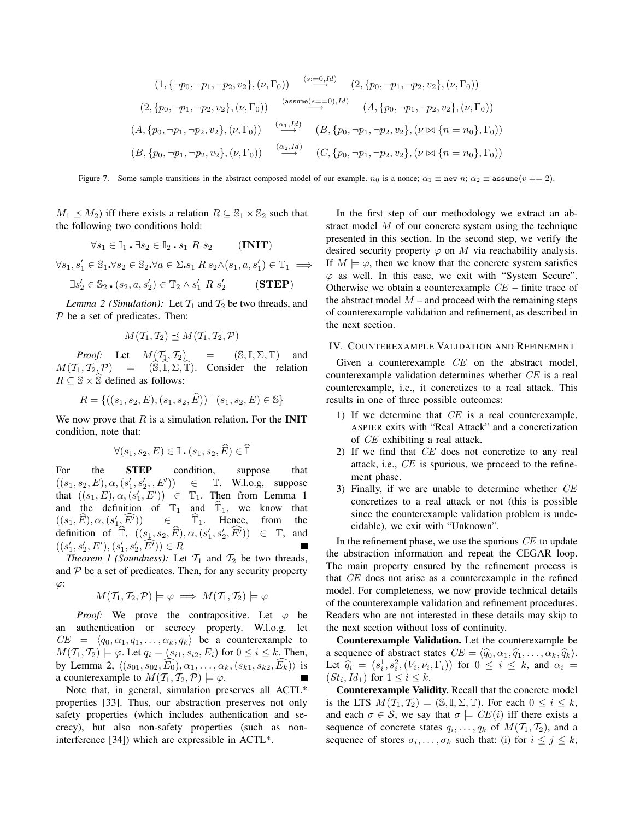$$
(1, \{\neg p_0, \neg p_1, \neg p_2, v_2\}, (\nu, \Gamma_0)) \xrightarrow{(s := 0, Id)} (2, \{p_0, \neg p_1, \neg p_2, v_2\}, (\nu, \Gamma_0))
$$
  

$$
(2, \{p_0, \neg p_1, \neg p_2, v_2\}, (\nu, \Gamma_0)) \xrightarrow{(assume(s == 0), Id)} (A, \{p_0, \neg p_1, \neg p_2, v_2\}, (\nu, \Gamma_0))
$$
  

$$
(A, \{p_0, \neg p_1, \neg p_2, v_2\}, (\nu, \Gamma_0)) \xrightarrow{( \alpha_1, Id)} (B, \{p_0, \neg p_1, \neg p_2, v_2\}, (\nu \bowtie \{n = n_0\}, \Gamma_0))
$$
  

$$
(B, \{p_0, \neg p_1, \neg p_2, v_2\}, (\nu, \Gamma_0)) \xrightarrow{( \alpha_2, Id)} (C, \{p_0, \neg p_1, \neg p_2, v_2\}, (\nu \bowtie \{n = n_0\}, \Gamma_0))
$$

Figure 7. Some sample transitions in the abstract composed model of our example.  $n_0$  is a nonce;  $\alpha_1 \equiv$  new  $n$ ;  $\alpha_2 \equiv$  assume( $v == 2$ ).

 $M_1 \preceq M_2$ ) iff there exists a relation  $R \subseteq \mathbb{S}_1 \times \mathbb{S}_2$  such that the following two conditions hold:

$$
\forall s_1 \in \mathbb{I}_1 \cdot \exists s_2 \in \mathbb{I}_2 \cdot s_1 \; R \; s_2 \qquad (\textbf{INIT})
$$

 $\forall s_1, s'_1 \in \mathbb{S}_1 \forall s_2 \in \mathbb{S}_2 \forall a \in \Sigma \cdot s_1 \mathbb{R} \cdot s_2 \land (s_1, a, s'_1) \in \mathbb{T}_1 \implies$ 

$$
\exists s_2' \in \mathbb{S}_2 . (s_2, a, s_2') \in \mathbb{T}_2 \wedge s_1' R s_2' \qquad (\text{STEP})
$$

*Lemma 2 (Simulation):* Let  $\mathcal{T}_1$  and  $\mathcal{T}_2$  be two threads, and  $P$  be a set of predicates. Then:

$$
M(\mathcal{T}_1,\mathcal{T}_2)\preceq M(\mathcal{T}_1,\mathcal{T}_2,\mathcal{P})
$$

*Proof:* Let  $M(\mathcal{T}_1, \mathcal{T}_2)$  =  $(S, \mathbb{I}, \Sigma, \mathbb{T})$  and  $M(\mathcal{T}_1, \mathcal{T}_2, \mathcal{P}) = (\widehat{\mathbb{S}}, \widehat{\mathbb{I}}, \Sigma, \widehat{\mathbb{T}})$ . Consider the relation  $R \subseteq \mathbb{S} \times \widehat{\mathbb{S}}$  defined as follows:

$$
R = \{ ((s_1, s_2, E), (s_1, s_2, \widehat{E})) \mid (s_1, s_2, E) \in \mathbb{S} \}
$$

We now prove that  $R$  is a simulation relation. For the **INIT** condition, note that:

$$
\forall (s_1, s_2, E) \in \mathbb{I} \cdot (s_1, s_2, \widehat{E}) \in \widehat{\mathbb{I}}
$$

For the **STEP** condition, suppose that  $((s_1, s_2, E), \alpha, (s'_1, s'_2, E')$  $∈$  T. W.l.o.g, suppose that  $((s_1, E), \alpha, (s'_1, E')) \in \mathbb{T}_1$ . Then from Lemma 1 and the definition of  $\mathbb{T}_1$  and  $\widehat{\mathbb{T}}_1$ , we know that  $((s_1, \widehat{E}), \alpha, (s'_1, \widehat{E'})) \in \widehat{\mathbb{T}}_1$ . Hence, from the  $((s_1,\widehat{E}),\alpha,(s_1^{\prime}% ,\widehat{E}),\alpha,(s_2^{\prime},\widehat{E}),\alpha)$  $\in$   $\hat{\mathbb{T}}_1$ . Hence, definition of  $\widehat{\mathbb{T}}$ ,  $((s_1, s_2, \widehat{E}), \alpha, (s'_1, s'_2, \widehat{E'})) \in \mathbb{T}$ , and  $((s'_1, s'_2, E'), (s'_1, s'_2, \widehat{E'})) \in R$ 

*Theorem 1 (Soundness):* Let  $\mathcal{T}_1$  and  $\mathcal{T}_2$  be two threads, and  $P$  be a set of predicates. Then, for any security property  $\varphi$ :

$$
M(\mathcal{T}_1, \mathcal{T}_2, \mathcal{P}) \models \varphi \implies M(\mathcal{T}_1, \mathcal{T}_2) \models \varphi
$$

*Proof:* We prove the contrapositive. Let  $\varphi$  be an authentication or secrecy property. W.l.o.g. let  $CE = \langle q_0, \alpha_1, q_1, \ldots, \alpha_k, q_k \rangle$  be a counterexample to  $M(\mathcal{T}_1, \mathcal{T}_2) \models \varphi$ . Let  $q_i = (s_{i1}, s_{i2}, E_i)$  for  $0 \le i \le k$ . Then, by Lemma 2,  $\langle (s_{01}, s_{02}, \overline{E_0}), \alpha_1, \ldots, \alpha_k, (s_{k1}, s_{k2}, \overline{E_k}) \rangle$  is a counterexample to  $M(\mathcal{T}_1, \mathcal{T}_2, \mathcal{P}) \models \varphi$ .

Note that, in general, simulation preserves all ACTL\* properties [33]. Thus, our abstraction preserves not only safety properties (which includes authentication and secrecy), but also non-safety properties (such as noninterference [34]) which are expressible in ACTL\*.

In the first step of our methodology we extract an abstract model  $M$  of our concrete system using the technique presented in this section. In the second step, we verify the desired security property  $\varphi$  on M via reachability analysis. If  $M \models \varphi$ , then we know that the concrete system satisfies  $\varphi$  as well. In this case, we exit with "System Secure". Otherwise we obtain a counterexample  $CE$  – finite trace of the abstract model  $M$  – and proceed with the remaining steps of counterexample validation and refinement, as described in the next section.

#### IV. COUNTEREXAMPLE VALIDATION AND REFINEMENT

Given a counterexample *CE* on the abstract model, counterexample validation determines whether CE is a real counterexample, i.e., it concretizes to a real attack. This results in one of three possible outcomes:

- 1) If we determine that  $CE$  is a real counterexample, ASPIER exits with "Real Attack" and a concretization of CE exhibiting a real attack.
- 2) If we find that CE does not concretize to any real attack, i.e.,  $CE$  is spurious, we proceed to the refinement phase.
- 3) Finally, if we are unable to determine whether CE concretizes to a real attack or not (this is possible since the counterexample validation problem is undecidable), we exit with "Unknown".

In the refinement phase, we use the spurious CE to update the abstraction information and repeat the CEGAR loop. The main property ensured by the refinement process is that CE does not arise as a counterexample in the refined model. For completeness, we now provide technical details of the counterexample validation and refinement procedures. Readers who are not interested in these details may skip to the next section without loss of continuity.

**Counterexample Validation.** Let the counterexample be a sequence of abstract states  $CE = \langle \hat{q}_0, \alpha_1, \hat{q}_1, \dots, \alpha_k, \hat{q}_k \rangle.$ Let  $\hat{q}_i = (s_i^1, s_i^2, (V_i, \nu_i, \Gamma_i))$  for  $0 \le i \le k$ , and  $\alpha_i = (s_i^1, s_i^2, (V_i, \nu_i, \Gamma_i))$  $(St_i, Id_1)$  for  $1 \leq i \leq k$ .

**Counterexample Validity.** Recall that the concrete model is the LTS  $M(\mathcal{T}_1, \mathcal{T}_2) = (\mathbb{S}, \mathbb{I}, \Sigma, \mathbb{T})$ . For each  $0 \leq i \leq k$ , and each  $\sigma \in \mathcal{S}$ , we say that  $\sigma \models \mathit{CE}(i)$  iff there exists a sequence of concrete states  $q_i, \ldots, q_k$  of  $M(\mathcal{T}_1, \mathcal{T}_2)$ , and a sequence of stores  $\sigma_i, \ldots, \sigma_k$  such that: (i) for  $i \leq j \leq k$ ,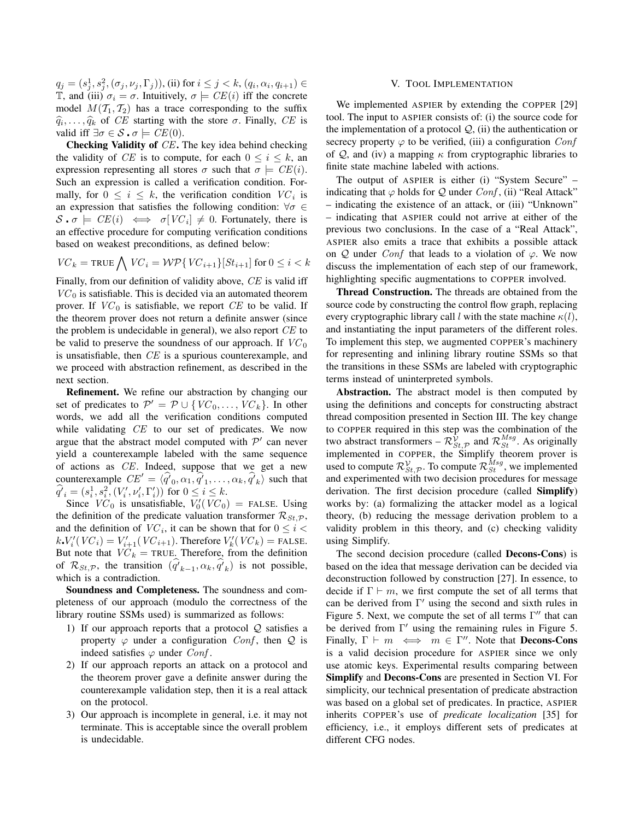$q_j=(s_j^1,s_j^2,(\sigma_j,\nu_j,\Gamma_j)),$  (ii) for  $i\leq j < k,$   $(q_i,\alpha_i,q_{i+1})\in$ T, and (iii)  $\sigma_i = \sigma$ . Intuitively,  $\sigma \models CE(i)$  iff the concrete model  $M(T_1, T_2)$  has a trace corresponding to the suffix  $\widehat{q}_i, \ldots, \widehat{q}_k$  of CE starting with the store  $\sigma$ . Finally, CE is valid iff  $\exists \sigma \in \mathcal{S} \cdot \sigma \models \mathit{CE}(0)$ .

**Checking Validity of** CE**.** The key idea behind checking the validity of CE is to compute, for each  $0 \le i \le k$ , an expression representing all stores  $\sigma$  such that  $\sigma \models \mathit{CE}(i)$ . Such an expression is called a verification condition. Formally, for  $0 \leq i \leq k$ , the verification condition  $VC_i$  is an expression that satisfies the following condition:  $\forall \sigma \in$  $S \cdot \sigma \models \text{CE}(i) \iff \sigma[\text{VC}_i] \neq 0$ . Fortunately, there is an effective procedure for computing verification conditions based on weakest preconditions, as defined below:

$$
V C_k = \texttt{TRUE} \bigwedge V C_i = \mathcal{WP} \{ V C_{i+1} \} [St_{i+1}] \text{ for } 0 \leq i < k
$$

Finally, from our definition of validity above, CE is valid iff  $VC<sub>0</sub>$  is satisfiable. This is decided via an automated theorem prover. If  $VC_0$  is satisfiable, we report CE to be valid. If the theorem prover does not return a definite answer (since the problem is undecidable in general), we also report CE to be valid to preserve the soundness of our approach. If  $VC_0$ is unsatisfiable, then CE is a spurious counterexample, and we proceed with abstraction refinement, as described in the next section.

**Refinement.** We refine our abstraction by changing our set of predicates to  $\mathcal{P}' = \mathcal{P} \cup \{VC_0, \ldots, VC_k\}$ . In other words, we add all the verification conditions computed while validating CE to our set of predicates. We now argue that the abstract model computed with  $\mathcal{P}'$  can never yield a counterexample labeled with the same sequence of actions as CE. Indeed, suppose that we get a new counterexample  $CE' = \langle \hat{q'}_0, \hat{\alpha_1}, \hat{q'}_1, \dots, \hat{\alpha_k}, \hat{q'}_k \rangle$  such that  $\hat{q'}_i = (s_i^1, s_i^2, (V'_i, \nu'_i, \Gamma'_i))$  for  $0 \le i \le k$ .

Since  $VC_0$  is unsatisfiable,  $V'_0(VC_0)$  = FALSE. Using the definition of the predicate valuation transformer  $\mathcal{R}_{St, \mathcal{P}}$ , and the definition of  $VC_i$ , it can be shown that for  $0 \leq i <$  $k.V'_i(VC_i) = V'_{i+1}(VC_{i+1})$ . Therefore  $V'_k(VC_k) =$  FALSE. But note that  $VC_k$  = TRUE. Therefore, from the definition of  $\mathcal{R}_{St,\mathcal{P}}$ , the transition  $(\hat{q}_{k-1}, \alpha_k, \hat{q}_{k})$  is not possible, which is a contradiction.

**Soundness and Completeness.** The soundness and completeness of our approach (modulo the correctness of the library routine SSMs used) is summarized as follows:

- 1) If our approach reports that a protocol  $Q$  satisfies a property  $\varphi$  under a configuration Conf, then  $Q$  is indeed satisfies  $\varphi$  under *Conf*.
- 2) If our approach reports an attack on a protocol and the theorem prover gave a definite answer during the counterexample validation step, then it is a real attack on the protocol.
- 3) Our approach is incomplete in general, i.e. it may not terminate. This is acceptable since the overall problem is undecidable.

#### V. TOOL IMPLEMENTATION

We implemented ASPIER by extending the COPPER [29] tool. The input to ASPIER consists of: (i) the source code for the implementation of a protocol  $Q$ , (ii) the authentication or secrecy property  $\varphi$  to be verified, (iii) a configuration Conf of  $Q$ , and (iv) a mapping  $\kappa$  from cryptographic libraries to finite state machine labeled with actions.

The output of ASPIER is either (i) "System Secure" – indicating that  $\varphi$  holds for  $\mathcal Q$  under  $Conf$ , (ii) "Real Attack" – indicating the existence of an attack, or (iii) "Unknown" – indicating that ASPIER could not arrive at either of the previous two conclusions. In the case of a "Real Attack", ASPIER also emits a trace that exhibits a possible attack on Q under Conf that leads to a violation of  $\varphi$ . We now discuss the implementation of each step of our framework, highlighting specific augmentations to COPPER involved.

**Thread Construction.** The threads are obtained from the source code by constructing the control flow graph, replacing every cryptographic library call l with the state machine  $\kappa(l)$ , and instantiating the input parameters of the different roles. To implement this step, we augmented COPPER's machinery for representing and inlining library routine SSMs so that the transitions in these SSMs are labeled with cryptographic terms instead of uninterpreted symbols.

**Abstraction.** The abstract model is then computed by using the definitions and concepts for constructing abstract thread composition presented in Section III. The key change to COPPER required in this step was the combination of the two abstract transformers –  $\mathcal{R}^{\hat{\mathcal{V}}}_{St,\mathcal{P}}$  and  $\mathcal{R}^{Msg}_{St}$ . As originally implemented in COPPER, the Simplify theorem prover is used to compute  $\mathcal{R}_{St,\mathcal{P}}^{\mathcal{V}}$ . To compute  $\mathcal{R}_{St}^{Msg}$ , we implemented and experimented with two decision procedures for message derivation. The first decision procedure (called **Simplify**) works by: (a) formalizing the attacker model as a logical theory, (b) reducing the message derivation problem to a validity problem in this theory, and (c) checking validity using Simplify.

The second decision procedure (called **Decons-Cons**) is based on the idea that message derivation can be decided via deconstruction followed by construction [27]. In essence, to decide if  $\Gamma \vdash m$ , we first compute the set of all terms that can be derived from Γ ′ using the second and sixth rules in Figure 5. Next, we compute the set of all terms Γ ′′ that can be derived from Γ ′ using the remaining rules in Figure 5. Finally,  $\Gamma \vdash m \iff m \in \Gamma''$ . Note that **Decons-Cons** is a valid decision procedure for ASPIER since we only use atomic keys. Experimental results comparing between **Simplify** and **Decons-Cons** are presented in Section VI. For simplicity, our technical presentation of predicate abstraction was based on a global set of predicates. In practice, ASPIER inherits COPPER's use of *predicate localization* [35] for efficiency, i.e., it employs different sets of predicates at different CFG nodes.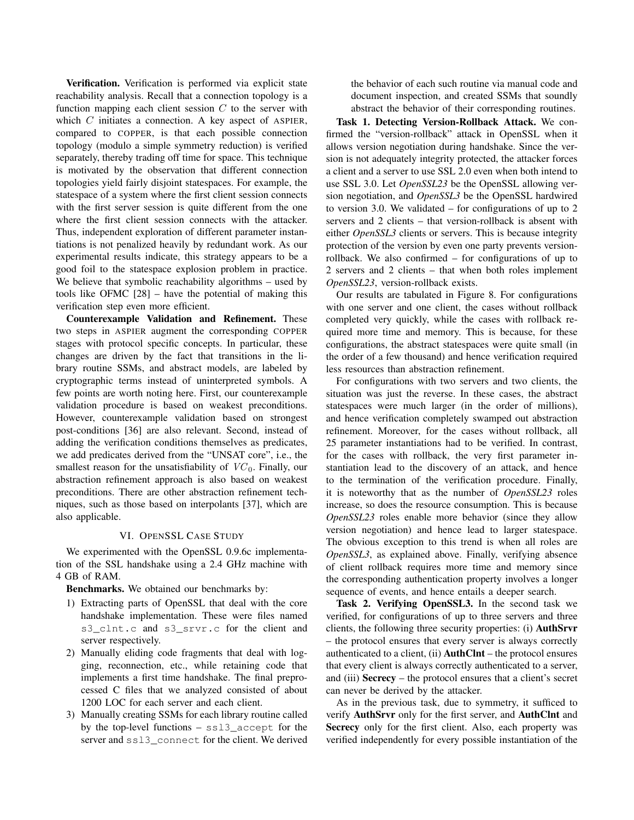**Verification.** Verification is performed via explicit state reachability analysis. Recall that a connection topology is a function mapping each client session  $C$  to the server with which  $C$  initiates a connection. A key aspect of ASPIER, compared to COPPER, is that each possible connection topology (modulo a simple symmetry reduction) is verified separately, thereby trading off time for space. This technique is motivated by the observation that different connection topologies yield fairly disjoint statespaces. For example, the statespace of a system where the first client session connects with the first server session is quite different from the one where the first client session connects with the attacker. Thus, independent exploration of different parameter instantiations is not penalized heavily by redundant work. As our experimental results indicate, this strategy appears to be a good foil to the statespace explosion problem in practice. We believe that symbolic reachability algorithms – used by tools like OFMC [28] – have the potential of making this verification step even more efficient.

**Counterexample Validation and Refinement.** These two steps in ASPIER augment the corresponding COPPER stages with protocol specific concepts. In particular, these changes are driven by the fact that transitions in the library routine SSMs, and abstract models, are labeled by cryptographic terms instead of uninterpreted symbols. A few points are worth noting here. First, our counterexample validation procedure is based on weakest preconditions. However, counterexample validation based on strongest post-conditions [36] are also relevant. Second, instead of adding the verification conditions themselves as predicates, we add predicates derived from the "UNSAT core", i.e., the smallest reason for the unsatisfiability of  $VC_0$ . Finally, our abstraction refinement approach is also based on weakest preconditions. There are other abstraction refinement techniques, such as those based on interpolants [37], which are also applicable.

# VI. OPENSSL CASE STUDY

We experimented with the OpenSSL 0.9.6c implementation of the SSL handshake using a 2.4 GHz machine with 4 GB of RAM.

**Benchmarks.** We obtained our benchmarks by:

- 1) Extracting parts of OpenSSL that deal with the core handshake implementation. These were files named s3 clnt.c and s3 srvr.c for the client and server respectively.
- 2) Manually eliding code fragments that deal with logging, reconnection, etc., while retaining code that implements a first time handshake. The final preprocessed C files that we analyzed consisted of about 1200 LOC for each server and each client.
- 3) Manually creating SSMs for each library routine called by the top-level functions – ssl3\_accept for the server and ssl3\_connect for the client. We derived

the behavior of each such routine via manual code and document inspection, and created SSMs that soundly abstract the behavior of their corresponding routines.

**Task 1. Detecting Version-Rollback Attack.** We confirmed the "version-rollback" attack in OpenSSL when it allows version negotiation during handshake. Since the version is not adequately integrity protected, the attacker forces a client and a server to use SSL 2.0 even when both intend to use SSL 3.0. Let *OpenSSL23* be the OpenSSL allowing version negotiation, and *OpenSSL3* be the OpenSSL hardwired to version 3.0. We validated – for configurations of up to 2 servers and 2 clients – that version-rollback is absent with either *OpenSSL3* clients or servers. This is because integrity protection of the version by even one party prevents versionrollback. We also confirmed – for configurations of up to 2 servers and 2 clients – that when both roles implement *OpenSSL23*, version-rollback exists.

Our results are tabulated in Figure 8. For configurations with one server and one client, the cases without rollback completed very quickly, while the cases with rollback required more time and memory. This is because, for these configurations, the abstract statespaces were quite small (in the order of a few thousand) and hence verification required less resources than abstraction refinement.

For configurations with two servers and two clients, the situation was just the reverse. In these cases, the abstract statespaces were much larger (in the order of millions), and hence verification completely swamped out abstraction refinement. Moreover, for the cases without rollback, all 25 parameter instantiations had to be verified. In contrast, for the cases with rollback, the very first parameter instantiation lead to the discovery of an attack, and hence to the termination of the verification procedure. Finally, it is noteworthy that as the number of *OpenSSL23* roles increase, so does the resource consumption. This is because *OpenSSL23* roles enable more behavior (since they allow version negotiation) and hence lead to larger statespace. The obvious exception to this trend is when all roles are *OpenSSL3*, as explained above. Finally, verifying absence of client rollback requires more time and memory since the corresponding authentication property involves a longer sequence of events, and hence entails a deeper search.

**Task 2. Verifying OpenSSL3.** In the second task we verified, for configurations of up to three servers and three clients, the following three security properties: (i) **AuthSrvr** – the protocol ensures that every server is always correctly authenticated to a client, (ii) **AuthClnt** – the protocol ensures that every client is always correctly authenticated to a server, and (iii) **Secrecy** – the protocol ensures that a client's secret can never be derived by the attacker.

As in the previous task, due to symmetry, it sufficed to verify **AuthSrvr** only for the first server, and **AuthClnt** and **Secrecy** only for the first client. Also, each property was verified independently for every possible instantiation of the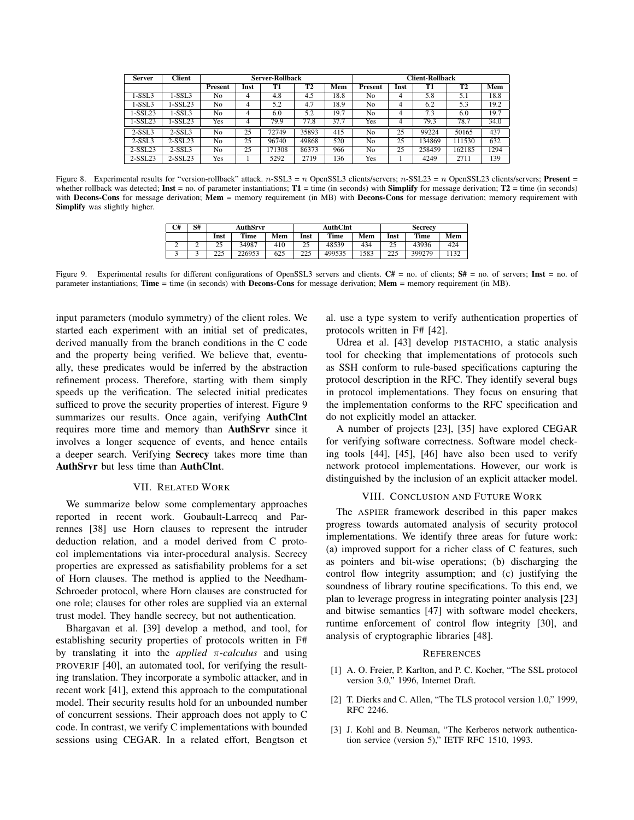| <b>Server</b> | <b>Client</b> | <b>Server-Rollback</b> |      |        |       |      | Client-Rollback |      |        |                        |      |
|---------------|---------------|------------------------|------|--------|-------|------|-----------------|------|--------|------------------------|------|
|               |               | <b>Present</b>         | Inst | T1     | T2    | Mem  | Present         | Inst | T1     | $\overline{\text{T2}}$ | Mem  |
| $1-SSL3$      | 1-SSL3        | No                     | 4    | 4.8    | 4.5   | 18.8 | No              | 4    | 5.8    | 5.1                    | 18.8 |
| 1-SSL3        | $-SSL23$      | N <sub>0</sub>         | 4    | 5.2    | 4.7   | 18.9 | No              |      | 6.2    | 5.3                    | 19.2 |
| $1-SSL23$     | 1-SSL3        | No                     | 4    | 6.0    | 5.2   | 19.7 | No              |      | 7.3    | 6.0                    | 19.7 |
| $1-SSL23$     | -SSL23        | Yes                    | 4    | 79.9   | 77.8  | 37.7 | Yes             | 4    | 79.3   | 78.7                   | 34.0 |
| $2-SSL3$      | $2-SSL3$      | No                     | 25   | 72749  | 35893 | 415  | No              | 25   | 99224  | 50165                  | 437  |
| $2-SSL3$      | 2-SSL23       | No                     | 25   | 96740  | 49868 | 520  | No              | 25   | 134869 | 111530                 | 632  |
| $2-SSL23$     | $2-SSL3$      | No                     | 25   | 171308 | 86373 | 966  | No              | 25   | 258459 | 162185                 | 1294 |
| $2-SSL23$     | 2-SSL23       | Yes                    |      | 5292   | 2719  | 136  | Yes             |      | 4249   | 2711                   | 139  |

Figure 8. Experimental results for "version-rollback" attack. n-SSL3 = n OpenSSL3 clients/servers; n-SSL23 = n OpenSSL23 clients/servers; **Present** = whether rollback was detected; **Inst** = no. of parameter instantiations; **T1** = time (in seconds) with **Simplify** for message derivation; **T2** = time (in seconds) with **Decons-Cons** for message derivation; **Mem** = memory requirement (in MB) with **Decons-Cons** for message derivation; memory requirement with **Simplify** was slightly higher.

| C# | S# | AuthSrvr  |             |     |             | AuthClnt    |      | <b>Secrecy</b> |        |     |  |
|----|----|-----------|-------------|-----|-------------|-------------|------|----------------|--------|-----|--|
|    |    | Inst      | <b>Time</b> | Mem | Inst        | <b>Time</b> | Mem  | Inst           | Time   | Mem |  |
| ∸  | ∼  | رے        | 34987       | 410 | 25          | 48539       | 434  | 25             | 43936  | 424 |  |
|    |    | 225<br>__ | 226953      | 625 | つつら<br>44 L | 499535      | 1583 | 225            | 399279 | 132 |  |

Figure 9. Experimental results for different configurations of OpenSSL3 servers and clients. **C#** = no. of clients; **S#** = no. of servers; **Inst** = no. of parameter instantiations; **Time** = time (in seconds) with **Decons-Cons** for message derivation; **Mem** = memory requirement (in MB).

input parameters (modulo symmetry) of the client roles. We started each experiment with an initial set of predicates, derived manually from the branch conditions in the C code and the property being verified. We believe that, eventually, these predicates would be inferred by the abstraction refinement process. Therefore, starting with them simply speeds up the verification. The selected initial predicates sufficed to prove the security properties of interest. Figure 9 summarizes our results. Once again, verifying **AuthClnt** requires more time and memory than **AuthSrvr** since it involves a longer sequence of events, and hence entails a deeper search. Verifying **Secrecy** takes more time than **AuthSrvr** but less time than **AuthClnt**.

### VII. RELATED WORK

We summarize below some complementary approaches reported in recent work. Goubault-Larrecq and Parrennes [38] use Horn clauses to represent the intruder deduction relation, and a model derived from C protocol implementations via inter-procedural analysis. Secrecy properties are expressed as satisfiability problems for a set of Horn clauses. The method is applied to the Needham-Schroeder protocol, where Horn clauses are constructed for one role; clauses for other roles are supplied via an external trust model. They handle secrecy, but not authentication.

Bhargavan et al. [39] develop a method, and tool, for establishing security properties of protocols written in F# by translating it into the *applied* π*-calculus* and using PROVERIF [40], an automated tool, for verifying the resulting translation. They incorporate a symbolic attacker, and in recent work [41], extend this approach to the computational model. Their security results hold for an unbounded number of concurrent sessions. Their approach does not apply to C code. In contrast, we verify C implementations with bounded sessions using CEGAR. In a related effort, Bengtson et al. use a type system to verify authentication properties of protocols written in F# [42].

Udrea et al. [43] develop PISTACHIO, a static analysis tool for checking that implementations of protocols such as SSH conform to rule-based specifications capturing the protocol description in the RFC. They identify several bugs in protocol implementations. They focus on ensuring that the implementation conforms to the RFC specification and do not explicitly model an attacker.

A number of projects [23], [35] have explored CEGAR for verifying software correctness. Software model checking tools [44], [45], [46] have also been used to verify network protocol implementations. However, our work is distinguished by the inclusion of an explicit attacker model.

# VIII. CONCLUSION AND FUTURE WORK

The ASPIER framework described in this paper makes progress towards automated analysis of security protocol implementations. We identify three areas for future work: (a) improved support for a richer class of C features, such as pointers and bit-wise operations; (b) discharging the control flow integrity assumption; and (c) justifying the soundness of library routine specifications. To this end, we plan to leverage progress in integrating pointer analysis [23] and bitwise semantics [47] with software model checkers, runtime enforcement of control flow integrity [30], and analysis of cryptographic libraries [48].

#### **REFERENCES**

- [1] A. O. Freier, P. Karlton, and P. C. Kocher, "The SSL protocol version 3.0," 1996, Internet Draft.
- [2] T. Dierks and C. Allen, "The TLS protocol version 1.0," 1999, RFC 2246.
- [3] J. Kohl and B. Neuman, "The Kerberos network authentication service (version 5)," IETF RFC 1510, 1993.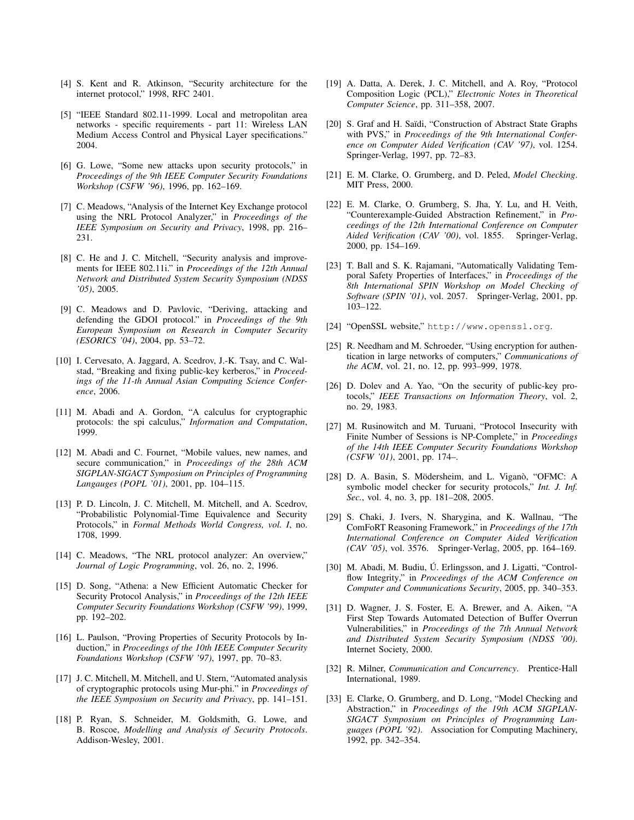- [4] S. Kent and R. Atkinson, "Security architecture for the internet protocol," 1998, RFC 2401.
- [5] "IEEE Standard 802.11-1999. Local and metropolitan area networks - specific requirements - part 11: Wireless LAN Medium Access Control and Physical Layer specifications." 2004.
- [6] G. Lowe, "Some new attacks upon security protocols," in *Proceedings of the 9th IEEE Computer Security Foundations Workshop (CSFW '96)*, 1996, pp. 162–169.
- [7] C. Meadows, "Analysis of the Internet Key Exchange protocol using the NRL Protocol Analyzer," in *Proceedings of the IEEE Symposium on Security and Privacy*, 1998, pp. 216– 231.
- [8] C. He and J. C. Mitchell, "Security analysis and improvements for IEEE 802.11i." in *Proceedings of the 12th Annual Network and Distributed System Security Symposium (NDSS '05)*, 2005.
- [9] C. Meadows and D. Pavlovic, "Deriving, attacking and defending the GDOI protocol." in *Proceedings of the 9th European Symposium on Research in Computer Security (ESORICS '04)*, 2004, pp. 53–72.
- [10] I. Cervesato, A. Jaggard, A. Scedrov, J.-K. Tsay, and C. Walstad, "Breaking and fixing public-key kerberos," in *Proceedings of the 11-th Annual Asian Computing Science Conference*, 2006.
- [11] M. Abadi and A. Gordon, "A calculus for cryptographic protocols: the spi calculus," *Information and Computation*, 1999.
- [12] M. Abadi and C. Fournet, "Mobile values, new names, and secure communication," in *Proceedings of the 28th ACM SIGPLAN-SIGACT Symposium on Principles of Programming Langauges (POPL '01)*, 2001, pp. 104–115.
- [13] P. D. Lincoln, J. C. Mitchell, M. Mitchell, and A. Scedrov, "Probabilistic Polynomial-Time Equivalence and Security Protocols," in *Formal Methods World Congress, vol. I*, no. 1708, 1999.
- [14] C. Meadows, "The NRL protocol analyzer: An overview," *Journal of Logic Programming*, vol. 26, no. 2, 1996.
- [15] D. Song, "Athena: a New Efficient Automatic Checker for Security Protocol Analysis," in *Proceedings of the 12th IEEE Computer Security Foundations Workshop (CSFW '99)*, 1999, pp. 192–202.
- [16] L. Paulson, "Proving Properties of Security Protocols by Induction," in *Proceedings of the 10th IEEE Computer Security Foundations Workshop (CSFW '97)*, 1997, pp. 70–83.
- [17] J. C. Mitchell, M. Mitchell, and U. Stern, "Automated analysis" of cryptographic protocols using Mur-phi." in *Proceedings of the IEEE Symposium on Security and Privacy*, pp. 141–151.
- [18] P. Ryan, S. Schneider, M. Goldsmith, G. Lowe, and B. Roscoe, *Modelling and Analysis of Security Protocols*. Addison-Wesley, 2001.
- [19] A. Datta, A. Derek, J. C. Mitchell, and A. Roy, "Protocol Composition Logic (PCL)," *Electronic Notes in Theoretical Computer Science*, pp. 311–358, 2007.
- [20] S. Graf and H. Saïdi, "Construction of Abstract State Graphs with PVS," in *Proceedings of the 9th International Conference on Computer Aided Verification (CAV '97)*, vol. 1254. Springer-Verlag, 1997, pp. 72–83.
- [21] E. M. Clarke, O. Grumberg, and D. Peled, *Model Checking*. MIT Press, 2000.
- [22] E. M. Clarke, O. Grumberg, S. Jha, Y. Lu, and H. Veith, "Counterexample-Guided Abstraction Refinement," in *Proceedings of the 12th International Conference on Computer Aided Verification (CAV '00)*, vol. 1855. Springer-Verlag, 2000, pp. 154–169.
- [23] T. Ball and S. K. Rajamani, "Automatically Validating Temporal Safety Properties of Interfaces," in *Proceedings of the 8th International SPIN Workshop on Model Checking of Software (SPIN '01)*, vol. 2057. Springer-Verlag, 2001, pp. 103–122.
- [24] "OpenSSL website," http://www.openssl.org.
- [25] R. Needham and M. Schroeder, "Using encryption for authentication in large networks of computers," *Communications of the ACM*, vol. 21, no. 12, pp. 993–999, 1978.
- [26] D. Dolev and A. Yao, "On the security of public-key protocols," *IEEE Transactions on Information Theory*, vol. 2, no. 29, 1983.
- [27] M. Rusinowitch and M. Turuani, "Protocol Insecurity with Finite Number of Sessions is NP-Complete," in *Proceedings of the 14th IEEE Computer Security Foundations Workshop (CSFW '01)*, 2001, pp. 174–.
- [28] D. A. Basin, S. Mödersheim, and L. Viganò, "OFMC: A symbolic model checker for security protocols," *Int. J. Inf. Sec.*, vol. 4, no. 3, pp. 181–208, 2005.
- [29] S. Chaki, J. Ivers, N. Sharygina, and K. Wallnau, "The ComFoRT Reasoning Framework," in *Proceedings of the 17th International Conference on Computer Aided Verification (CAV '05)*, vol. 3576. Springer-Verlag, 2005, pp. 164–169.
- [30] M. Abadi, M. Budiu, Ú. Erlingsson, and J. Ligatti, "Controlflow Integrity," in *Proceedings of the ACM Conference on Computer and Communications Security*, 2005, pp. 340–353.
- [31] D. Wagner, J. S. Foster, E. A. Brewer, and A. Aiken, "A First Step Towards Automated Detection of Buffer Overrun Vulnerabilities," in *Proceedings of the 7th Annual Network and Distributed System Security Symposium (NDSS '00)*. Internet Society, 2000.
- [32] R. Milner, *Communication and Concurrency*. Prentice-Hall International, 1989.
- [33] E. Clarke, O. Grumberg, and D. Long, "Model Checking and Abstraction," in *Proceedings of the 19th ACM SIGPLAN-SIGACT Symposium on Principles of Programming Languages (POPL '92)*. Association for Computing Machinery, 1992, pp. 342–354.